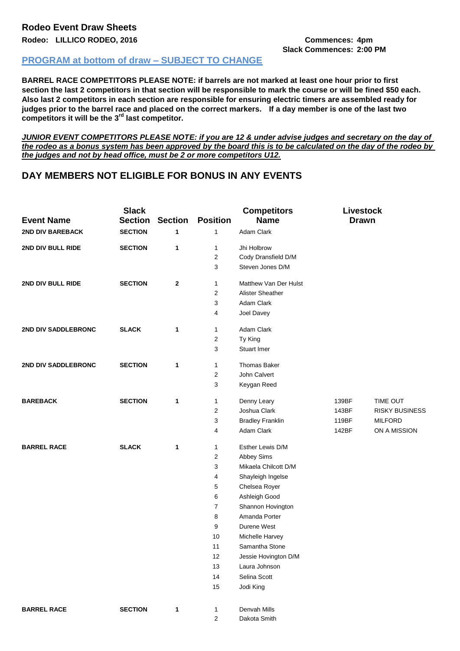## **Rodeo Event Draw Sheets**

**Rodeo: LILLICO RODEO, 2016 Commences: 4pm**

# **Slack Commences: 2:00 PM**

#### **PROGRAM at bottom of draw – SUBJECT TO CHANGE**

**BARREL RACE COMPETITORS PLEASE NOTE: if barrels are not marked at least one hour prior to first section the last 2 competitors in that section will be responsible to mark the course or will be fined \$50 each. Also last 2 competitors in each section are responsible for ensuring electric timers are assembled ready for judges prior to the barrel race and placed on the correct markers. If a day member is one of the last two competitors it will be the 3rd last competitor.**

#### *JUNIOR EVENT COMPETITORS PLEASE NOTE: if you are 12 & under advise judges and secretary on the day of the rodeo as a bonus system has been approved by the board this is to be calculated on the day of the rodeo by the judges and not by head office, must be 2 or more competitors U12.*

### **DAY MEMBERS NOT ELIGIBLE FOR BONUS IN ANY EVENTS**

|                         | <b>Slack</b>   |                |                         | <b>Competitors</b>      | <b>Livestock</b> |                       |
|-------------------------|----------------|----------------|-------------------------|-------------------------|------------------|-----------------------|
| <b>Event Name</b>       | <b>Section</b> | <b>Section</b> | <b>Position</b>         | <b>Name</b>             | <b>Drawn</b>     |                       |
| <b>2ND DIV BAREBACK</b> | <b>SECTION</b> | $\mathbf{1}$   | $\mathbf{1}$            | Adam Clark              |                  |                       |
| 2ND DIV BULL RIDE       | <b>SECTION</b> | 1              | 1                       | Jhi Holbrow             |                  |                       |
|                         |                |                | 2                       | Cody Dransfield D/M     |                  |                       |
|                         |                |                | 3                       | Steven Jones D/M        |                  |                       |
| 2ND DIV BULL RIDE       | <b>SECTION</b> | $\mathbf{2}$   | 1                       | Matthew Van Der Hulst   |                  |                       |
|                         |                |                | 2                       | Alister Sheather        |                  |                       |
|                         |                |                | 3                       | Adam Clark              |                  |                       |
|                         |                |                | 4                       | Joel Davey              |                  |                       |
| 2ND DIV SADDLEBRONC     | <b>SLACK</b>   | 1              | 1                       | Adam Clark              |                  |                       |
|                         |                |                | 2                       | Ty King                 |                  |                       |
|                         |                |                | 3                       | Stuart Imer             |                  |                       |
| 2ND DIV SADDLEBRONC     | <b>SECTION</b> | 1              | 1                       | <b>Thomas Baker</b>     |                  |                       |
|                         |                |                | 2                       | John Calvert            |                  |                       |
|                         |                |                | 3                       | Keygan Reed             |                  |                       |
| <b>BAREBACK</b>         | <b>SECTION</b> | 1              | 1                       | Denny Leary             | 139BF            | TIME OUT              |
|                         |                |                | 2                       | Joshua Clark            | 143BF            | <b>RISKY BUSINESS</b> |
|                         |                |                | 3                       | <b>Bradley Franklin</b> | 119BF            | <b>MILFORD</b>        |
|                         |                |                | 4                       | Adam Clark              | 142BF            | ON A MISSION          |
| <b>BARREL RACE</b>      | <b>SLACK</b>   | 1              | 1                       | Esther Lewis D/M        |                  |                       |
|                         |                |                | 2                       | Abbey Sims              |                  |                       |
|                         |                |                | 3                       | Mikaela Chilcott D/M    |                  |                       |
|                         |                |                | 4                       | Shayleigh Ingelse       |                  |                       |
|                         |                |                | 5                       | Chelsea Royer           |                  |                       |
|                         |                |                | 6                       | Ashleigh Good           |                  |                       |
|                         |                |                | 7                       | Shannon Hovington       |                  |                       |
|                         |                |                | 8                       | Amanda Porter           |                  |                       |
|                         |                |                | 9                       | Durene West             |                  |                       |
|                         |                |                | 10                      | Michelle Harvey         |                  |                       |
|                         |                |                | 11                      | Samantha Stone          |                  |                       |
|                         |                |                | 12                      | Jessie Hovington D/M    |                  |                       |
|                         |                |                | 13                      | Laura Johnson           |                  |                       |
|                         |                |                | 14                      | Selina Scott            |                  |                       |
|                         |                |                | $15\,$                  | Jodi King               |                  |                       |
| <b>BARREL RACE</b>      | <b>SECTION</b> | 1              | 1                       | Denvah Mills            |                  |                       |
|                         |                |                | $\overline{\mathbf{c}}$ | Dakota Smith            |                  |                       |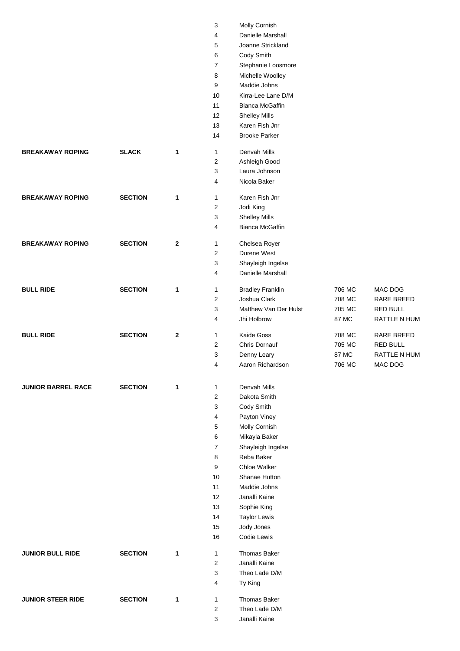|                           |                |   | 3                   | Molly Cornish                          |        |                 |
|---------------------------|----------------|---|---------------------|----------------------------------------|--------|-----------------|
|                           |                |   | 4                   | <b>Danielle Marshall</b>               |        |                 |
|                           |                |   | 5                   | Joanne Strickland                      |        |                 |
|                           |                |   | 6                   | Cody Smith                             |        |                 |
|                           |                |   | $\overline{7}$      | Stephanie Loosmore                     |        |                 |
|                           |                |   | 8                   | Michelle Woolley                       |        |                 |
|                           |                |   | 9                   | Maddie Johns                           |        |                 |
|                           |                |   | 10                  | Kirra-Lee Lane D/M                     |        |                 |
|                           |                |   | 11                  | Bianca McGaffin                        |        |                 |
|                           |                |   | 12                  |                                        |        |                 |
|                           |                |   |                     | <b>Shelley Mills</b>                   |        |                 |
|                           |                |   | 13                  | Karen Fish Jnr<br><b>Brooke Parker</b> |        |                 |
|                           |                |   | 14                  |                                        |        |                 |
| <b>BREAKAWAY ROPING</b>   | <b>SLACK</b>   | 1 | 1                   | Denvah Mills                           |        |                 |
|                           |                |   | $\overline{c}$      | Ashleigh Good                          |        |                 |
|                           |                |   | 3                   | Laura Johnson                          |        |                 |
|                           |                |   | 4                   | Nicola Baker                           |        |                 |
|                           |                |   |                     |                                        |        |                 |
| <b>BREAKAWAY ROPING</b>   | <b>SECTION</b> | 1 | 1                   | Karen Fish Jnr                         |        |                 |
|                           |                |   | 2                   | Jodi King                              |        |                 |
|                           |                |   | 3                   | <b>Shelley Mills</b>                   |        |                 |
|                           |                |   | 4                   | Bianca McGaffin                        |        |                 |
| <b>BREAKAWAY ROPING</b>   | <b>SECTION</b> | 2 | 1                   | Chelsea Royer                          |        |                 |
|                           |                |   | $\overline{c}$      | Durene West                            |        |                 |
|                           |                |   | 3                   | Shayleigh Ingelse                      |        |                 |
|                           |                |   | 4                   | Danielle Marshall                      |        |                 |
|                           |                |   |                     |                                        |        |                 |
| <b>BULL RIDE</b>          | <b>SECTION</b> | 1 | 1                   | <b>Bradley Franklin</b>                | 706 MC | MAC DOG         |
|                           |                |   | $\overline{c}$      | Joshua Clark                           | 708 MC | RARE BREED      |
|                           |                |   | 3                   | Matthew Van Der Hulst                  | 705 MC | <b>RED BULL</b> |
|                           |                |   | 4                   | Jhi Holbrow                            | 87 MC  | RATTLE N HUM    |
| <b>BULL RIDE</b>          | <b>SECTION</b> | 2 | 1                   | Kaide Goss                             | 708 MC | RARE BREED      |
|                           |                |   | $\overline{c}$      | Chris Dornauf                          | 705 MC | <b>RED BULL</b> |
|                           |                |   | 3                   | Denny Leary                            | 87 MC  | RATTLE N HUM    |
|                           |                |   | 4                   | Aaron Richardson                       | 706 MC | MAC DOG         |
|                           |                |   |                     |                                        |        |                 |
| <b>JUNIOR BARREL RACE</b> | <b>SECTION</b> | 1 | 1                   | Denvah Mills                           |        |                 |
|                           |                |   | 2                   | Dakota Smith                           |        |                 |
|                           |                |   | 3                   | Cody Smith                             |        |                 |
|                           |                |   | 4                   | Payton Viney                           |        |                 |
|                           |                |   | 5                   | Molly Cornish                          |        |                 |
|                           |                |   | 6                   | Mikayla Baker                          |        |                 |
|                           |                |   | $\overline{7}$      |                                        |        |                 |
|                           |                |   |                     | Shayleigh Ingelse                      |        |                 |
|                           |                |   | 8                   | Reba Baker                             |        |                 |
|                           |                |   | 9                   | Chloe Walker                           |        |                 |
|                           |                |   | 10                  | Shanae Hutton                          |        |                 |
|                           |                |   | 11                  | Maddie Johns                           |        |                 |
|                           |                |   | 12                  | Janalli Kaine                          |        |                 |
|                           |                |   | 13                  | Sophie King                            |        |                 |
|                           |                |   | 14                  | <b>Taylor Lewis</b>                    |        |                 |
|                           |                |   | 15                  | Jody Jones                             |        |                 |
|                           |                |   | 16                  | Codie Lewis                            |        |                 |
| <b>JUNIOR BULL RIDE</b>   | <b>SECTION</b> | 1 | 1                   | <b>Thomas Baker</b>                    |        |                 |
|                           |                |   | $\overline{c}$      | Janalli Kaine                          |        |                 |
|                           |                |   | 3                   | Theo Lade D/M                          |        |                 |
|                           |                |   | 4                   | Ty King                                |        |                 |
|                           |                |   |                     |                                        |        |                 |
|                           |                |   |                     |                                        |        |                 |
| <b>JUNIOR STEER RIDE</b>  | <b>SECTION</b> | 1 | 1                   | Thomas Baker                           |        |                 |
|                           |                |   | $\overline{c}$<br>3 | Theo Lade D/M<br>Janalli Kaine         |        |                 |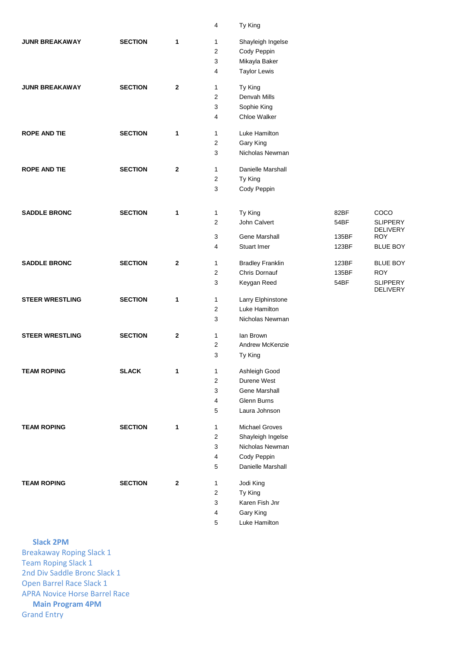|                        |                |              | 4                | Ty King                 |       |                                    |
|------------------------|----------------|--------------|------------------|-------------------------|-------|------------------------------------|
| <b>JUNR BREAKAWAY</b>  | <b>SECTION</b> | 1            | 1                | Shayleigh Ingelse       |       |                                    |
|                        |                |              | $\overline{2}$   | Cody Peppin             |       |                                    |
|                        |                |              | 3                | Mikayla Baker           |       |                                    |
|                        |                |              | 4                | <b>Taylor Lewis</b>     |       |                                    |
| <b>JUNR BREAKAWAY</b>  | <b>SECTION</b> | $\mathbf{2}$ | 1                | Ty King                 |       |                                    |
|                        |                |              | 2                | Denvah Mills            |       |                                    |
|                        |                |              | 3                | Sophie King             |       |                                    |
|                        |                |              | 4                | Chloe Walker            |       |                                    |
| <b>ROPE AND TIE</b>    | <b>SECTION</b> | 1            | 1                | Luke Hamilton           |       |                                    |
|                        |                |              | 2                | Gary King               |       |                                    |
|                        |                |              | 3                | Nicholas Newman         |       |                                    |
| <b>ROPE AND TIE</b>    | <b>SECTION</b> | 2            | 1                | Danielle Marshall       |       |                                    |
|                        |                |              | $\overline{c}$   | Ty King                 |       |                                    |
|                        |                |              | 3                | Cody Peppin             |       |                                    |
| <b>SADDLE BRONC</b>    | <b>SECTION</b> | 1            | 1                | Ty King                 | 82BF  | COCO                               |
|                        |                |              | $\overline{2}$   | John Calvert            | 54BF  | <b>SLIPPERY</b>                    |
|                        |                |              | $\mathbf{3}$     | <b>Gene Marshall</b>    | 135BF | <b>DELIVERY</b><br><b>ROY</b>      |
|                        |                |              | 4                | Stuart Imer             | 123BF | <b>BLUE BOY</b>                    |
|                        |                |              |                  |                         |       |                                    |
| <b>SADDLE BRONC</b>    | <b>SECTION</b> | 2            | 1                | <b>Bradley Franklin</b> | 123BF | <b>BLUE BOY</b>                    |
|                        |                |              | $\boldsymbol{2}$ | Chris Dornauf           | 135BF | <b>ROY</b>                         |
|                        |                |              | 3                | Keygan Reed             | 54BF  | <b>SLIPPERY</b><br><b>DELIVERY</b> |
| <b>STEER WRESTLING</b> | <b>SECTION</b> | 1            | 1                | Larry Elphinstone       |       |                                    |
|                        |                |              | $\sqrt{2}$       | Luke Hamilton           |       |                                    |
|                        |                |              | 3                | Nicholas Newman         |       |                                    |
| <b>STEER WRESTLING</b> | <b>SECTION</b> | $\mathbf{2}$ | 1                | lan Brown               |       |                                    |
|                        |                |              | 2                | Andrew McKenzie         |       |                                    |
|                        |                |              | 3                | Ty King                 |       |                                    |
| <b>TEAM ROPING</b>     | <b>SLACK</b>   | 1            | 1                | Ashleigh Good           |       |                                    |
|                        |                |              | 2                | Durene West             |       |                                    |
|                        |                |              | 3                | Gene Marshall           |       |                                    |
|                        |                |              | 4                | Glenn Burns             |       |                                    |
|                        |                |              | 5                | Laura Johnson           |       |                                    |
| <b>TEAM ROPING</b>     | <b>SECTION</b> | 1            | 1                | Michael Groves          |       |                                    |
|                        |                |              | $\overline{c}$   | Shayleigh Ingelse       |       |                                    |
|                        |                |              | 3                | Nicholas Newman         |       |                                    |
|                        |                |              | 4                | Cody Peppin             |       |                                    |
|                        |                |              | $\,$ 5 $\,$      | Danielle Marshall       |       |                                    |
| <b>TEAM ROPING</b>     | <b>SECTION</b> | $\mathbf{2}$ | 1                | Jodi King               |       |                                    |
|                        |                |              | $\sqrt{2}$       | Ty King                 |       |                                    |
|                        |                |              | 3                | Karen Fish Jnr          |       |                                    |
|                        |                |              | 4                | Gary King               |       |                                    |
|                        |                |              | $\,$ 5 $\,$      | Luke Hamilton           |       |                                    |

**Slack 2PM**

Breakaway Roping Slack 1 Team Roping Slack 1 2nd Div Saddle Bronc Slack 1 Open Barrel Race Slack 1 APRA Novice Horse Barrel Race **Main Program 4PM** Grand Entry